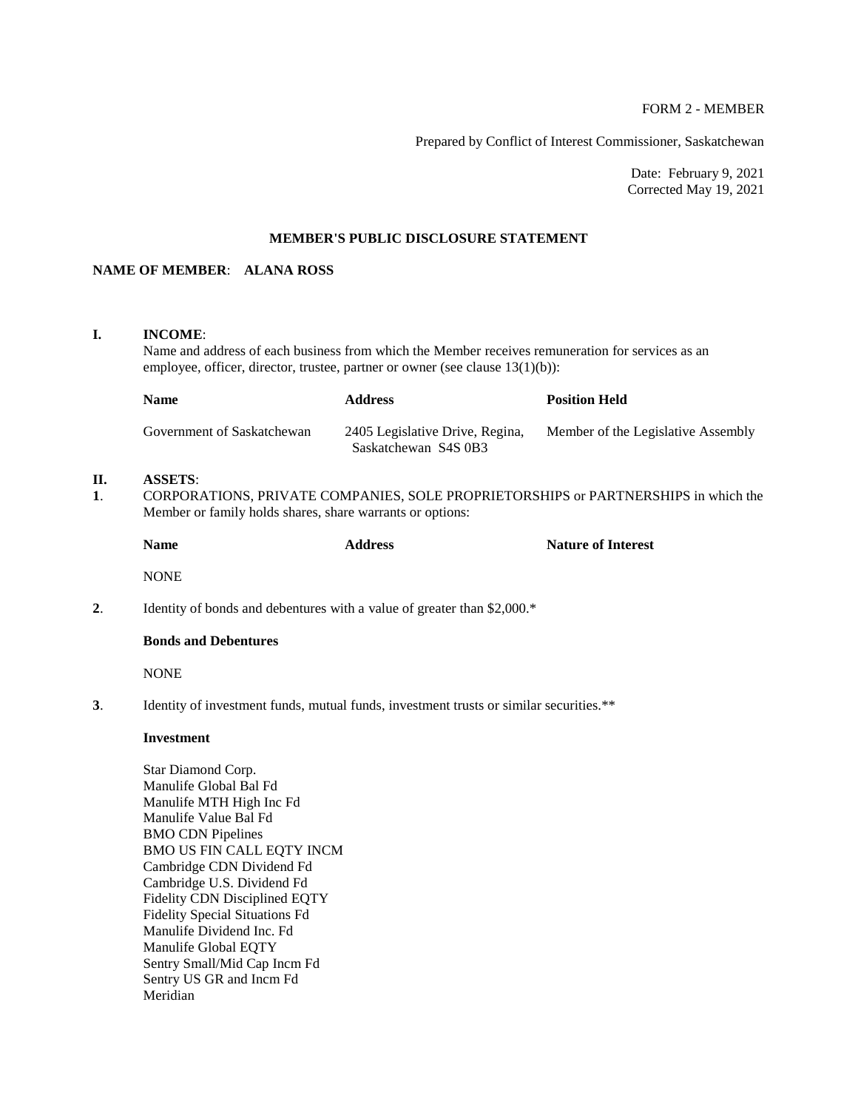## FORM 2 - MEMBER

Prepared by Conflict of Interest Commissioner, Saskatchewan

Date: February 9, 2021 Corrected May 19, 2021

## **MEMBER'S PUBLIC DISCLOSURE STATEMENT**

## **NAME OF MEMBER**: **ALANA ROSS**

### **I. INCOME**:

Name and address of each business from which the Member receives remuneration for services as an employee, officer, director, trustee, partner or owner (see clause 13(1)(b)):

| <b>Name</b>                | <b>Address</b>                                          | <b>Position Held</b>               |
|----------------------------|---------------------------------------------------------|------------------------------------|
| Government of Saskatchewan | 2405 Legislative Drive, Regina,<br>Saskatchewan S4S 0B3 | Member of the Legislative Assembly |

# **II. ASSETS**:

**1**. CORPORATIONS, PRIVATE COMPANIES, SOLE PROPRIETORSHIPS or PARTNERSHIPS in which the Member or family holds shares, share warrants or options:

| <b>Name</b> | <b>Address</b> | <b>Nature of Interest</b> |
|-------------|----------------|---------------------------|
| <b>NONE</b> |                |                           |

**2.** Identity of bonds and debentures with a value of greater than \$2,000.\*

## **Bonds and Debentures**

NONE

**3**. Identity of investment funds, mutual funds, investment trusts or similar securities.\*\*

#### **Investment**

Star Diamond Corp. Manulife Global Bal Fd Manulife MTH High Inc Fd Manulife Value Bal Fd BMO CDN Pipelines BMO US FIN CALL EQTY INCM Cambridge CDN Dividend Fd Cambridge U.S. Dividend Fd Fidelity CDN Disciplined EQTY Fidelity Special Situations Fd Manulife Dividend Inc. Fd Manulife Global EQTY Sentry Small/Mid Cap Incm Fd Sentry US GR and Incm Fd Meridian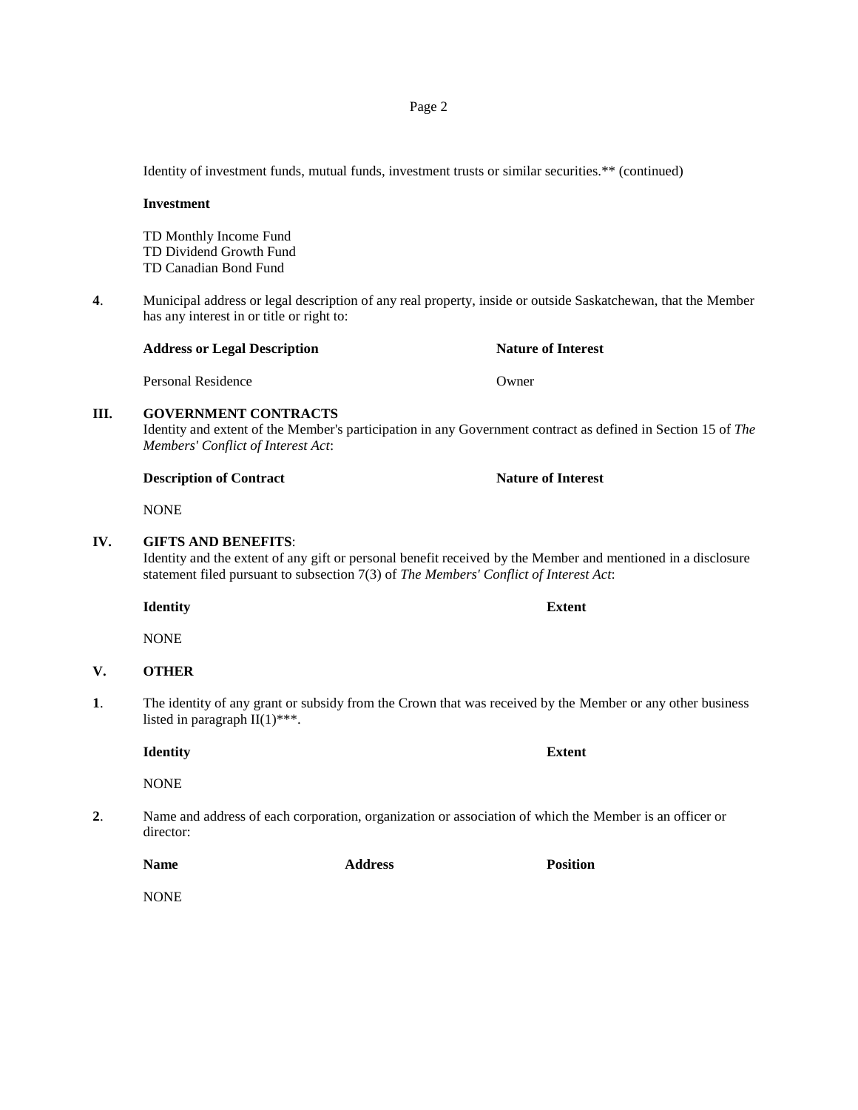Identity of investment funds, mutual funds, investment trusts or similar securities.\*\* (continued)

#### **Investment**

TD Monthly Income Fund TD Dividend Growth Fund TD Canadian Bond Fund

**4**. Municipal address or legal description of any real property, inside or outside Saskatchewan, that the Member has any interest in or title or right to:

# **Address or Legal Description Nature of Interest**

Personal Residence **Owner** 

#### **III. GOVERNMENT CONTRACTS**

Identity and extent of the Member's participation in any Government contract as defined in Section 15 of *The Members' Conflict of Interest Act*:

### **Description of Contract Nature of Interest**

NONE

#### **IV. GIFTS AND BENEFITS**:

Identity and the extent of any gift or personal benefit received by the Member and mentioned in a disclosure statement filed pursuant to subsection 7(3) of *The Members' Conflict of Interest Act*:

**Identity Extent**

NONE

# **V. OTHER**

**1**. The identity of any grant or subsidy from the Crown that was received by the Member or any other business listed in paragraph II(1)\*\*\*.

**Identity Extent**

NONE

**2**. Name and address of each corporation, organization or association of which the Member is an officer or director:

**Name Address Position**

NONE